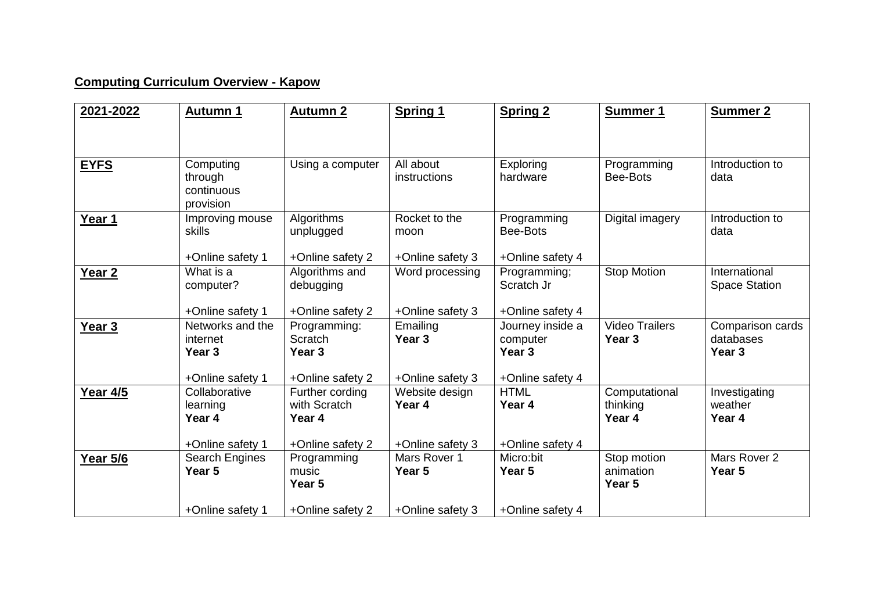## **Computing Curriculum Overview - Kapow**

| 2021-2022         | <b>Autumn 1</b>       | <b>Autumn 2</b>        | <b>Spring 1</b>   | <b>Spring 2</b>   | Summer 1              | Summer 2             |
|-------------------|-----------------------|------------------------|-------------------|-------------------|-----------------------|----------------------|
|                   |                       |                        |                   |                   |                       |                      |
|                   |                       |                        |                   |                   |                       |                      |
| <b>EYFS</b>       | Computing             | Using a computer       | All about         | Exploring         | Programming           | Introduction to      |
|                   | through<br>continuous |                        | instructions      | hardware          | Bee-Bots              | data                 |
|                   | provision             |                        |                   |                   |                       |                      |
| Year 1            | Improving mouse       | Algorithms             | Rocket to the     | Programming       | Digital imagery       | Introduction to      |
|                   | skills                | unplugged              | moon              | Bee-Bots          |                       | data                 |
|                   | +Online safety 1      | +Online safety 2       | +Online safety 3  | +Online safety 4  |                       |                      |
| Year <sub>2</sub> | What is a             | Algorithms and         | Word processing   | Programming;      | Stop Motion           | International        |
|                   | computer?             | debugging              |                   | Scratch Jr        |                       | <b>Space Station</b> |
|                   | +Online safety 1      | +Online safety 2       | +Online safety 3  | +Online safety 4  |                       |                      |
| Year <sub>3</sub> | Networks and the      | Programming:           | Emailing          | Journey inside a  | <b>Video Trailers</b> | Comparison cards     |
|                   | internet              | Scratch                | Year <sub>3</sub> | computer          | Year <sub>3</sub>     | databases            |
|                   | Year <sub>3</sub>     | Year <sub>3</sub>      |                   | Year <sub>3</sub> |                       | Year <sub>3</sub>    |
|                   | +Online safety 1      | +Online safety 2       | +Online safety 3  | +Online safety 4  |                       |                      |
| <b>Year 4/5</b>   | Collaborative         | Further cording        | Website design    | <b>HTML</b>       | Computational         | Investigating        |
|                   | learning<br>Year 4    | with Scratch<br>Year 4 | Year 4            | Year 4            | thinking<br>Year 4    | weather<br>Year 4    |
|                   |                       |                        |                   |                   |                       |                      |
|                   | +Online safety 1      | +Online safety 2       | +Online safety 3  | +Online safety 4  |                       |                      |
| <b>Year 5/6</b>   | Search Engines        | Programming            | Mars Rover 1      | Micro:bit         | Stop motion           | Mars Rover 2         |
|                   | Year 5                | music<br>Year 5        | Year 5            | Year 5            | animation<br>Year 5   | Year 5               |
|                   |                       |                        |                   |                   |                       |                      |
|                   | +Online safety 1      | +Online safety 2       | +Online safety 3  | +Online safety 4  |                       |                      |